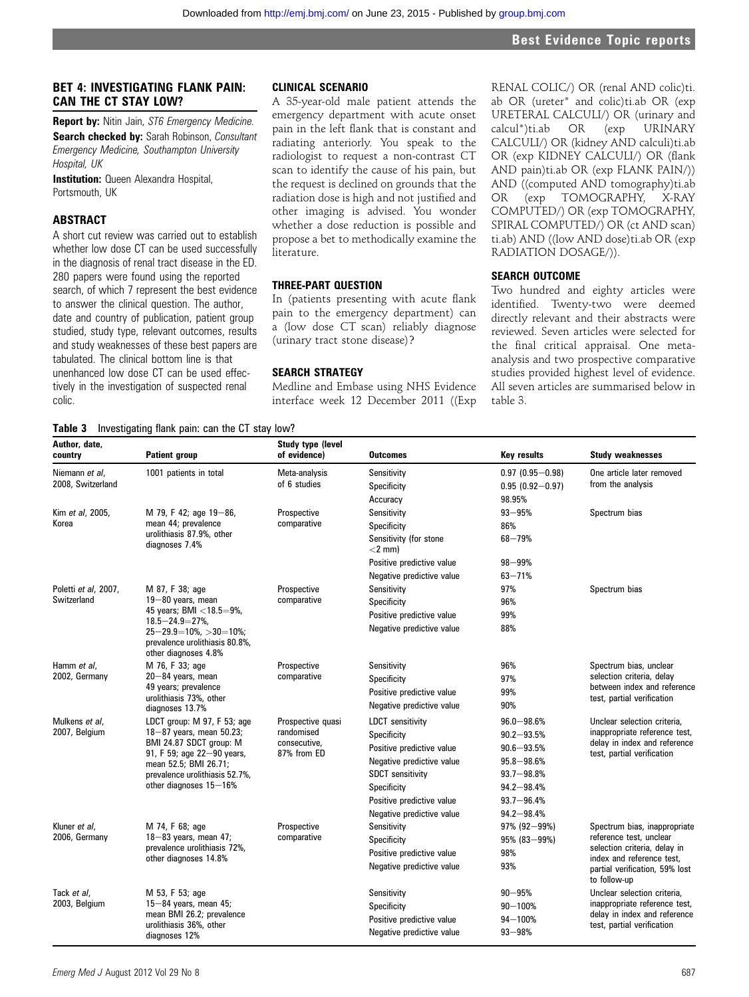# BET 4: INVESTIGATING FLANK PAIN: CAN THE CT STAY LOW?

**Report by:** Nitin Jain, ST6 Emergency Medicine. Search checked by: Sarah Robinson, Consultant Emergency Medicine, Southampton University Hospital, UK

**Institution:** Queen Alexandra Hospital, Portsmouth, UK

# ABSTRACT

A short cut review was carried out to establish whether low dose CT can be used successfully in the diagnosis of renal tract disease in the ED. 280 papers were found using the reported search, of which 7 represent the best evidence to answer the clinical question. The author, date and country of publication, patient group studied, study type, relevant outcomes, results and study weaknesses of these best papers are tabulated. The clinical bottom line is that unenhanced low dose CT can be used effectively in the investigation of suspected renal colic.

#### CLINICAL SCENARIO

A 35-year-old male patient attends the emergency department with acute onset pain in the left flank that is constant and radiating anteriorly. You speak to the radiologist to request a non-contrast CT scan to identify the cause of his pain, but the request is declined on grounds that the radiation dose is high and not justified and other imaging is advised. You wonder whether a dose reduction is possible and propose a bet to methodically examine the literature.

## THREE-PART QUESTION

In (patients presenting with acute flank pain to the emergency department) can a (low dose CT scan) reliably diagnose (urinary tract stone disease)?

#### SEARCH STRATEGY

Medline and Embase using NHS Evidence interface week 12 December 2011 ((Exp

RENAL COLIC/) OR (renal AND colic)ti. ab OR (ureter\* and colic)ti.ab OR (exp URETERAL CALCULI/) OR (urinary and calcul\*)ti.ab OR (exp URINARY CALCULI/) OR (kidney AND calculi)ti.ab OR (exp KIDNEY CALCULI/) OR (flank AND pain)ti.ab OR (exp FLANK PAIN/)) AND ((computed AND tomography)ti.ab OR (exp TOMOGRAPHY, X-RAY COMPUTED/) OR (exp TOMOGRAPHY, SPIRAL COMPUTED/) OR (ct AND scan) ti.ab) AND ((low AND dose)ti.ab OR (exp RADIATION DOSAGE/)).

## SEARCH OUTCOME

Two hundred and eighty articles were identified. Twenty-two were deemed directly relevant and their abstracts were reviewed. Seven articles were selected for the final critical appraisal. One metaanalysis and two prospective comparative studies provided highest level of evidence. All seven articles are summarised below in table 3.

#### Table 3 Investigating flank pain: can the CT stay low?

| Author, date,<br>country            | <b>Patient group</b>                                                                                                                                                                                  | <b>Study type (level</b><br>of evidence)                       | <b>Outcomes</b>                                                                                                                                                                                      | <b>Key results</b>                                                                                                                           | <b>Study weaknesses</b>                                                                                                                                                |
|-------------------------------------|-------------------------------------------------------------------------------------------------------------------------------------------------------------------------------------------------------|----------------------------------------------------------------|------------------------------------------------------------------------------------------------------------------------------------------------------------------------------------------------------|----------------------------------------------------------------------------------------------------------------------------------------------|------------------------------------------------------------------------------------------------------------------------------------------------------------------------|
| Niemann et al.<br>2008, Switzerland | 1001 patients in total                                                                                                                                                                                | Meta-analysis<br>of 6 studies                                  | Sensitivity<br>Specificity<br>Accuracy                                                                                                                                                               | $0.97(0.95 - 0.98)$<br>$0.95(0.92 - 0.97)$<br>98.95%                                                                                         | One article later removed<br>from the analysis                                                                                                                         |
| Kim et al, 2005,<br>Korea           | M 79, F 42; age 19-86,<br>mean 44; prevalence<br>urolithiasis 87.9%, other<br>diagnoses 7.4%                                                                                                          | Prospective<br>comparative                                     | Sensitivity<br>Specificity<br>Sensitivity (for stone<br>$<$ 2 mm $)$<br>Positive predictive value<br>Negative predictive value                                                                       | $93 - 95%$<br>86%<br>$68 - 79%$<br>$98 - 99%$<br>$63 - 71%$                                                                                  | Spectrum bias                                                                                                                                                          |
| Poletti et al, 2007,<br>Switzerland | M 87, F 38; age<br>19-80 years, mean<br>45 years; BMI <18.5=9%,<br>$18.5 - 24.9 = 27\%$<br>$25 - 29.9 = 10\%$ , $> 30 = 10\%$ ;<br>prevalence urolithiasis 80.8%,<br>other diagnoses 4.8%             | Prospective<br>comparative                                     | Sensitivity<br>Specificity<br>Positive predictive value<br>Negative predictive value                                                                                                                 | 97%<br>96%<br>99%<br>88%                                                                                                                     | Spectrum bias                                                                                                                                                          |
| Hamm et al.<br>2002, Germany        | M 76, F 33; age<br>20-84 years, mean<br>49 years; prevalence<br>urolithiasis 73%, other<br>diagnoses 13.7%                                                                                            | Prospective<br>comparative                                     | Sensitivity<br>Specificity<br>Positive predictive value<br>Negative predictive value                                                                                                                 | 96%<br>97%<br>99%<br>90%                                                                                                                     | Spectrum bias, unclear<br>selection criteria, delay<br>between index and reference<br>test, partial verification                                                       |
| Mulkens et al,<br>2007, Belgium     | LDCT group: M 97, F 53; age<br>18-87 years, mean 50.23;<br>BMI 24.87 SDCT group: M<br>91, F 59; age 22-90 years,<br>mean 52.5; BMI 26.71;<br>prevalence urolithiasis 52.7%,<br>other diagnoses 15-16% | Prospective quasi<br>randomised<br>consecutive,<br>87% from ED | <b>LDCT</b> sensitivity<br>Specificity<br>Positive predictive value<br>Negative predictive value<br><b>SDCT</b> sensitivity<br>Specificity<br>Positive predictive value<br>Negative predictive value | $96.0 - 98.6%$<br>$90.2 - 93.5%$<br>$90.6 - 93.5%$<br>$95.8 - 98.6%$<br>$93.7 - 98.8%$<br>$94.2 - 98.4%$<br>$93.7 - 96.4%$<br>$94.2 - 98.4%$ | Unclear selection criteria,<br>inappropriate reference test,<br>delay in index and reference<br>test, partial verification                                             |
| Kluner et al.<br>2006, Germany      | M 74, F 68; age<br>$18 - 83$ years, mean 47;<br>prevalence urolithiasis 72%,<br>other diagnoses 14.8%                                                                                                 | Prospective<br>comparative                                     | Sensitivity<br>Specificity<br>Positive predictive value<br>Negative predictive value                                                                                                                 | $97\%$ (92-99%)<br>$95\%$ (83-99%)<br>98%<br>93%                                                                                             | Spectrum bias, inappropriate<br>reference test, unclear<br>selection criteria, delay in<br>index and reference test,<br>partial verification, 59% lost<br>to follow-up |
| Tack et al.<br>2003, Belgium        | M 53, F 53; age<br>$15-84$ years, mean 45;<br>mean BMI 26.2; prevalence<br>urolithiasis 36%, other<br>diagnoses 12%                                                                                   |                                                                | Sensitivity<br>Specificity<br>Positive predictive value<br>Negative predictive value                                                                                                                 | $90 - 95%$<br>$90 - 100%$<br>$94 - 100%$<br>$93 - 98%$                                                                                       | Unclear selection criteria.<br>inappropriate reference test,<br>delay in index and reference<br>test, partial verification                                             |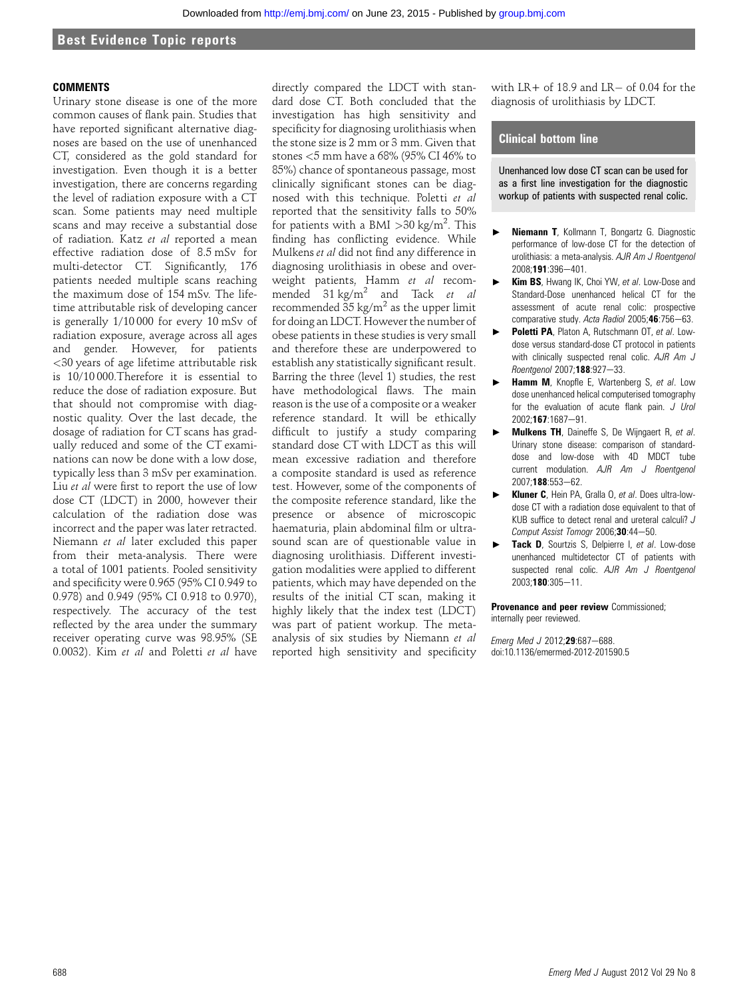# Best Evidence Topic reports

#### **COMMENTS**

Urinary stone disease is one of the more common causes of flank pain. Studies that have reported significant alternative diagnoses are based on the use of unenhanced CT, considered as the gold standard for investigation. Even though it is a better investigation, there are concerns regarding the level of radiation exposure with a CT scan. Some patients may need multiple scans and may receive a substantial dose of radiation. Katz et al reported a mean effective radiation dose of 8.5 mSv for multi-detector CT. Significantly, 176 patients needed multiple scans reaching the maximum dose of 154 mSv. The lifetime attributable risk of developing cancer is generally 1/10 000 for every 10 mSv of radiation exposure, average across all ages and gender. However, for patients <30 years of age lifetime attributable risk is 10/10 000.Therefore it is essential to reduce the dose of radiation exposure. But that should not compromise with diagnostic quality. Over the last decade, the dosage of radiation for CT scans has gradually reduced and some of the CT examinations can now be done with a low dose, typically less than 3 mSv per examination. Liu et al were first to report the use of low dose CT (LDCT) in 2000, however their calculation of the radiation dose was incorrect and the paper was later retracted. Niemann et al later excluded this paper from their meta-analysis. There were a total of 1001 patients. Pooled sensitivity and specificity were 0.965 (95% CI 0.949 to 0.978) and 0.949 (95% CI 0.918 to 0.970), respectively. The accuracy of the test reflected by the area under the summary receiver operating curve was 98.95% (SE 0.0032). Kim et al and Poletti et al have

directly compared the LDCT with standard dose CT. Both concluded that the investigation has high sensitivity and specificity for diagnosing urolithiasis when the stone size is 2 mm or 3 mm. Given that stones <5 mm have a 68% (95% CI 46% to 85%) chance of spontaneous passage, most clinically significant stones can be diagnosed with this technique. Poletti et al reported that the sensitivity falls to 50% for patients with a BMI  $>$ 30 kg/m<sup>2</sup>. This finding has conflicting evidence. While Mulkens et al did not find any difference in diagnosing urolithiasis in obese and overweight patients, Hamm et al recommended  $31 \text{ kg/m}^2$  and Tack *et al* recommended  $35 \text{ kg/m}^2$  as the upper limit for doing an LDCT. However the number of obese patients in these studies is very small and therefore these are underpowered to establish any statistically significant result. Barring the three (level 1) studies, the rest have methodological flaws. The main reason is the use of a composite or a weaker reference standard. It will be ethically difficult to justify a study comparing standard dose CT with LDCT as this will mean excessive radiation and therefore a composite standard is used as reference test. However, some of the components of the composite reference standard, like the presence or absence of microscopic haematuria, plain abdominal film or ultrasound scan are of questionable value in diagnosing urolithiasis. Different investigation modalities were applied to different patients, which may have depended on the results of the initial CT scan, making it highly likely that the index test (LDCT) was part of patient workup. The metaanalysis of six studies by Niemann et al reported high sensitivity and specificity

with  $LR +$  of 18.9 and  $LR -$  of 0.04 for the diagnosis of urolithiasis by LDCT.

## Clinical bottom line

Unenhanced low dose CT scan can be used for as a first line investigation for the diagnostic workup of patients with suspected renal colic.

- Niemann T, Kollmann T, Bongartz G. Diagnostic performance of low-dose CT for the detection of urolithiasis: a meta-analysis. AJR Am J Roentgenol 2008;191:396-401.
- Kim BS, Hwang IK, Choi YW, et al. Low-Dose and Standard-Dose unenhanced helical CT for the assessment of acute renal colic: prospective comparative study. Acta Radiol 2005;46:756-63.
- Poletti PA, Platon A, Rutschmann OT, et al. Lowdose versus standard-dose CT protocol in patients with clinically suspected renal colic. AJR Am J Roentgenol 2007;188:927-33.
- **Hamm M**, Knopfle E, Wartenberg S, et al. Low dose unenhanced helical computerised tomography for the evaluation of acute flank pain. J Urol 2002;167:1687-91.
- $\triangleright$  Mulkens TH, Daineffe S, De Wijngaert R, et al. Urinary stone disease: comparison of standarddose and low-dose with 4D MDCT tube current modulation. AJR Am J Roentgenol 2007;188:553-62.
- Kluner C, Hein PA, Gralla O, et al. Does ultra-lowdose CT with a radiation dose equivalent to that of KUB suffice to detect renal and ureteral calculi? J Comput Assist Tomogr 2006; $30:44-50$ .
- Tack D, Sourtzis S, Delpierre I, et al. Low-dose unenhanced multidetector CT of patients with suspected renal colic. AJR Am J Roentgenol 2003;180:305-11.

Provenance and peer review Commissioned; internally peer reviewed.

Emerg Med J 2012;29:687-688. doi:10.1136/emermed-2012-201590.5